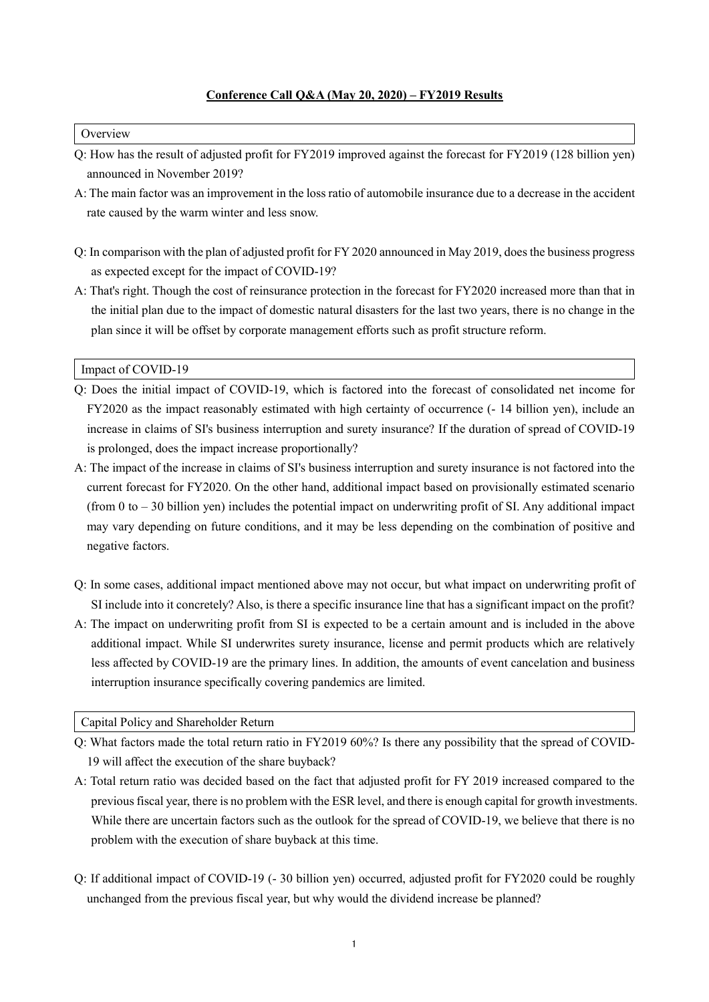## **Conference Call Q&A (May 20, 2020) – FY2019 Results**

## **Overview**

- Q: How has the result of adjusted profit for FY2019 improved against the forecast for FY2019 (128 billion yen) announced in November 2019?
- A: The main factor was an improvement in the loss ratio of automobile insurance due to a decrease in the accident rate caused by the warm winter and less snow.
- Q: In comparison with the plan of adjusted profit for FY 2020 announced in May 2019, does the business progress as expected except for the impact of COVID-19?
- A: That's right. Though the cost of reinsurance protection in the forecast for FY2020 increased more than that in the initial plan due to the impact of domestic natural disasters for the last two years, there is no change in the plan since it will be offset by corporate management efforts such as profit structure reform.

Impact of COVID-19

- Q: Does the initial impact of COVID-19, which is factored into the forecast of consolidated net income for FY2020 as the impact reasonably estimated with high certainty of occurrence (- 14 billion yen), include an increase in claims of SI's business interruption and surety insurance? If the duration of spread of COVID-19 is prolonged, does the impact increase proportionally?
- A: The impact of the increase in claims of SI's business interruption and surety insurance is not factored into the current forecast for FY2020. On the other hand, additional impact based on provisionally estimated scenario (from 0 to – 30 billion yen) includes the potential impact on underwriting profit of SI. Any additional impact may vary depending on future conditions, and it may be less depending on the combination of positive and negative factors.
- Q: In some cases, additional impact mentioned above may not occur, but what impact on underwriting profit of SI include into it concretely? Also, is there a specific insurance line that has a significant impact on the profit?
- A: The impact on underwriting profit from SI is expected to be a certain amount and is included in the above additional impact. While SI underwrites surety insurance, license and permit products which are relatively less affected by COVID-19 are the primary lines. In addition, the amounts of event cancelation and business interruption insurance specifically covering pandemics are limited.

Capital Policy and Shareholder Return

- Q: What factors made the total return ratio in FY2019 60%? Is there any possibility that the spread of COVID-19 will affect the execution of the share buyback?
- A: Total return ratio was decided based on the fact that adjusted profit for FY 2019 increased compared to the previous fiscal year, there is no problem with the ESR level, and there is enough capital for growth investments. While there are uncertain factors such as the outlook for the spread of COVID-19, we believe that there is no problem with the execution of share buyback at this time.
- Q: If additional impact of COVID-19 (- 30 billion yen) occurred, adjusted profit for FY2020 could be roughly unchanged from the previous fiscal year, but why would the dividend increase be planned?